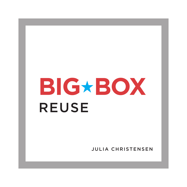## **BIG**★**BOX** REUSE

JULIA CHRISTENSEN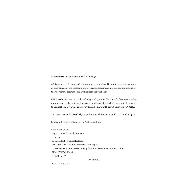## © 2008 Massachusetts Institute of Technology

All rights reserved. No part of this book may be reproduced in any form by any electronic or mechanical means (including photocopying, recording, or information storage and retrieval) without permission in writing from the publisher.

MIT Press books may be purchased at special quantity discounts for business or sales promotional use. For information, please email special\_sales@mitpress.mit.edu or write to Special Sales Department, The MIT Press, 55 Hayward Street, Cambridge, MA 02142.

This book was set in Caecelia by Graphic Composition, Inc. Printed and bound in Spain.

Library of Congress Cataloging-in-Publication Data

Christensen, Julia. Big box reuse / Julia Christensen. p. cm. Includes bibliographical references. ISBN 978-0-262-03379-4 (hardcover : alk. paper) 1. Department stores—Remodeling for other use—United States. I. Title. NA6227.D45C46 2008 725'.21—dc22

2008007043

10 9 8 7 6 5 4 3 2 1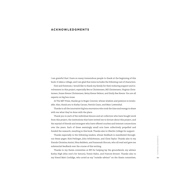## **ACKNOWLEDGMENTS**

I am grateful that I have so many tremendous people to thank at the beginning of this book. It takes a village, and I am glad that mine includes the following cast of characters.

First and foremost, I would like to thank my family for their enduring support and involvement in this project, especially Becca Christensen, Bill Christensen, Virginia Christensen, Susan Keene Christensen, Betsy Keene Nelson, and Emily Rae Keene.You are all experts on big box reuse.

At The MIT Press, thanks go to Roger Conover, whose wisdom and patience is invaluable. Also, thank you to Kathy Caruso, Patrick Ciano, and Marc Lowenthal.

Thanks to all the innovative big box renovators who took the time and energy to share with me what they've done with the place.

Thank you to each of the individual donors and art collectors who have bought work from this project, the institutions that have invited me to lecture about this project, and the myriad of friends and strangers who have offered couches and Internet connections over the years. Each of these seemingly small acts have collectively propelled and funded the research, resulting in this book. Thanks also to Oberlin College for support.

Thanks especially to the following readers, whose feedback is manifested throughout these pages: Rick Prelinger, John Schlichtman, and Chris Taylor. Thanks also to my friends Christina Amini, Nina Baldwin, and Susannah Slocum, who all read and gave me substantial feedback over the course of this writing.

Thanks to my thesis committee at RPI for helping lay the groundwork, my advisor Kathy High (this one's for Saturn), Tomie Hahn, and Frances Bronet. Thanks also to my friend Matt Coolidge, who acted as my "outside advisor" on the thesis committee,

VII